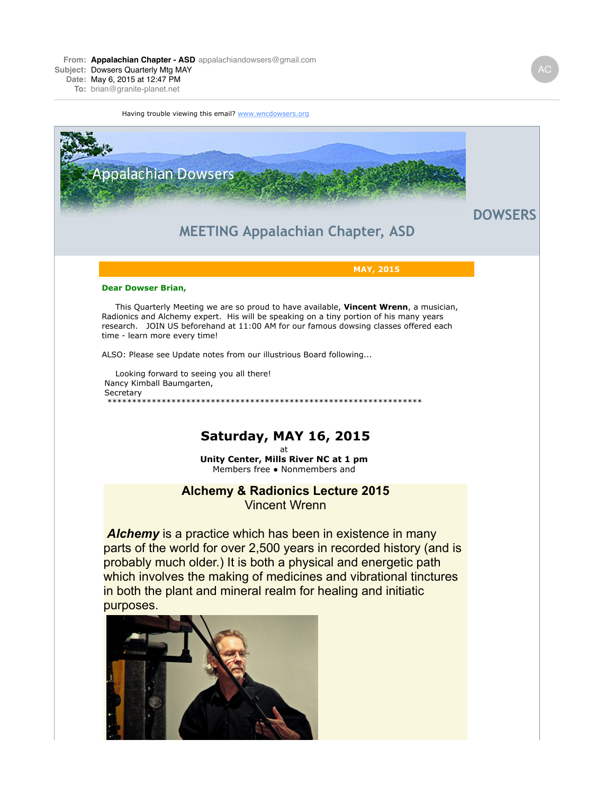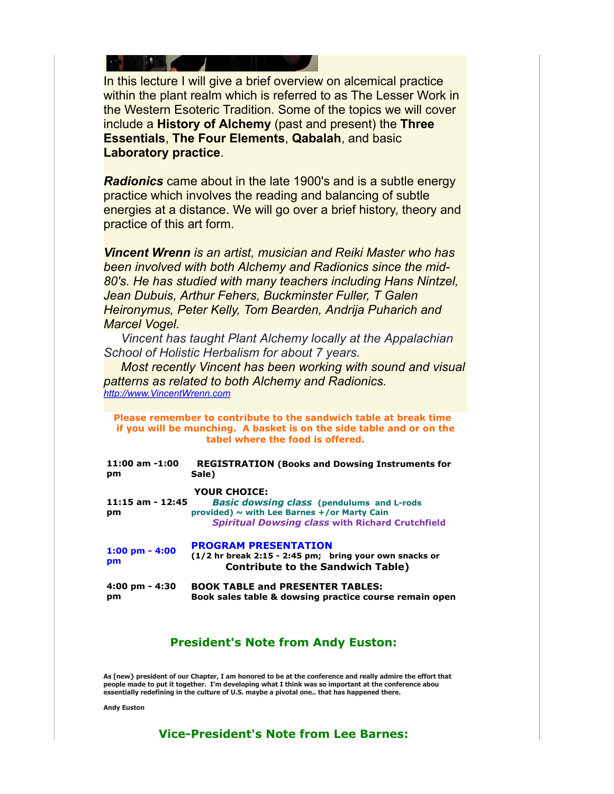**THE REAL PROPERTY.** ┙

In this lecture I will give a brief overview on alcemical practice within the plant realm which is referred to as The Lesser Work in the Western Esoteric Tradition. Some of the topics we will cover include a **History of Alchemy** (past and present) the **Three Essentials**, **The Four Elements**, **Qabalah**, and basic **Laboratory practice**.

*Radionics* came about in the late 1900's and is a subtle energy practice which involves the reading and balancing of subtle energies at a distance. We will go over a brief history, theory and practice of this art form.

*Vincent Wrenn is an artist, musician and Reiki Master who has been involved with both Alchemy and Radionics since the mid-80's. He has studied with many teachers including Hans Nintzel, Jean Dubuis, Arthur Fehers, Buckminster Fuller, T Galen Heironymus, Peter Kelly, Tom Bearden, Andrija Puharich and Marcel Vogel.*

 *Vincent has taught Plant Alchemy locally at the Appalachian School of Holistic Herbalism for about 7 years.*

 *Most recently Vincent has been working with sound and visual patterns as related to both Alchemy and Radionics. [http://www.VincentWrenn.com](http://r20.rs6.net/tn.jsp?f=001eJHvlLrKeR17gvnJu41fuKLFvkIYVzvB1NJnSqsfSexkC9adci9E25nycARue2G-BcS6dtPdARpEbCGoHMpB1vDuooTBU36IFjKNQW3VDyG7yQXAz4PPdPwOuAABDes6TlEhvGJ-nNLfdPlt8qM6aRDwli8oPKz8VfSTi4j5NwZTRdu5DIFCVwk_2ug1EdpLfMd5V5AzCqWb_32HzBcTl9fm6rPtCsAWA31IEdQwEJi2bC2OeKQphbadBsBsy_Djh2hjSMAvWzZ0_zrlo3Z5u5FaRrR4YOhF5OiMtHJS81d4DcyQ6tUNscDZwpv9Ghxr1ZhzuFZHPjQ=&c=kIBG_kyDxdxaLvEyAsTO52u7qwZdvaaVRLwdD_rITauzON5Y-1UuHg==&ch=bzxJxabRIep-MmEBli1o7gJ68OCH_Fny04ooz0syIbQTiry4e6up6A==)*

**Please remember to contribute to the sandwich table at break time if you will be munching. A basket is on the side table and or on the tabel where the food is offered.**

**11:00 am -1:00 pm REGISTRATION (Books and Dowsing Instruments for Sale)**

#### **YOUR CHOICE:**

| 11:15 am - 12:45 | <b>Basic dowsing class</b> (pendulums and L-rods        |  |  |  |
|------------------|---------------------------------------------------------|--|--|--|
| рm               | provided) $\sim$ with Lee Barnes +/or Marty Cain        |  |  |  |
|                  | <b>Spiritual Dowsing class with Richard Crutchfield</b> |  |  |  |

| $1:00$ pm - $4:00$<br>pm<br>4:00 pm - 4:30<br>pm | <b>PROGRAM PRESENTATION</b><br>$(1/2$ hr break 2:15 - 2:45 pm; bring your own snacks or<br><b>Contribute to the Sandwich Table)</b> |  |
|--------------------------------------------------|-------------------------------------------------------------------------------------------------------------------------------------|--|
|                                                  | <b>BOOK TABLE and PRESENTER TABLES:</b><br>Book sales table & dowsing practice course remain open                                   |  |

## **President's Note from Andy Euston:**

**As [new} president of our Chapter, I am honored to be at the conference and really admire the effort that people made to put it together. I'm developing what I think was so important at the conference abou essentially redefining in the culture of U.S. maybe a pivotal one.. that has happened there.** 

**Andy Euston**

**Vice-President's Note from Lee Barnes:**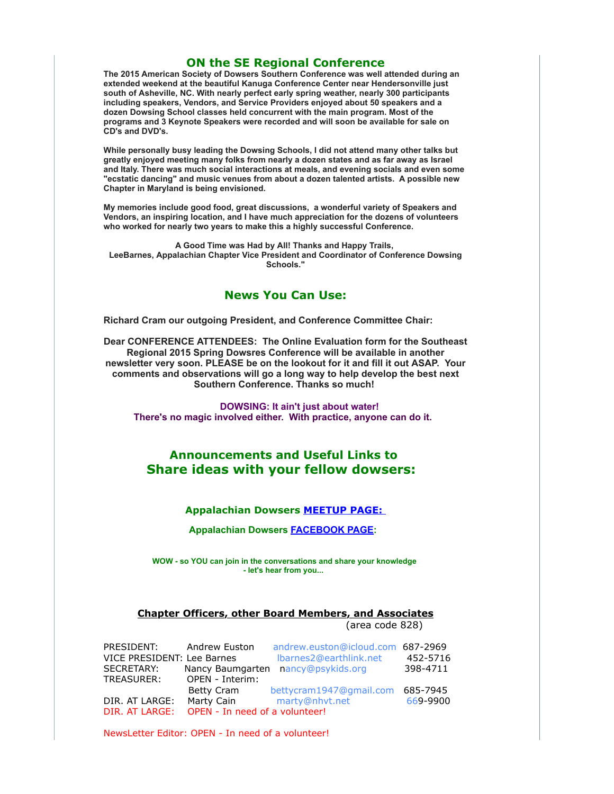#### **ON the SE Regional Conference**

**The 2015 American Society of Dowsers Southern Conference was well attended during an extended weekend at the beautiful Kanuga Conference Center near Hendersonville just south of Asheville, NC. With nearly perfect early spring weather, nearly 300 participants including speakers, Vendors, and Service Providers enjoyed about 50 speakers and a dozen Dowsing School classes held concurrent with the main program. Most of the programs and 3 Keynote Speakers were recorded and will soon be available for sale on CD's and DVD's.**

**While personally busy leading the Dowsing Schools, I did not attend many other talks but greatly enjoyed meeting many folks from nearly a dozen states and as far away as Israel and Italy. There was much social interactions at meals, and evening socials and even some "ecstatic dancing" and music venues from about a dozen talented artists. A possible new Chapter in Maryland is being envisioned.**

**My memories include good food, great discussions, a wonderful variety of Speakers and Vendors, an inspiring location, and I have much appreciation for the dozens of volunteers who worked for nearly two years to make this a highly successful Conference.** 

**A Good Time was Had by All! Thanks and Happy Trails, LeeBarnes, Appalachian Chapter Vice President and Coordinator of Conference Dowsing Schools."**

## **News You Can Use:**

**Richard Cram our outgoing President, and Conference Committee Chair:**

**Dear CONFERENCE ATTENDEES: The Online Evaluation form for the Southeast Regional 2015 Spring Dowsres Conference will be available in another newsletter very soon. PLEASE be on the lookout for it and fill it out ASAP. Your comments and observations will go a long way to help develop the best next Southern Conference. Thanks so much!** 

 **DOWSING: It ain't just about water! There's no magic involved either. With practice, anyone can do it.** 

# **Announcements and Useful Links to Share ideas with your fellow dowsers:**

#### **Appalachian Dowsers [MEETUP PAGE:](http://r20.rs6.net/tn.jsp?f=001eJHvlLrKeR17gvnJu41fuKLFvkIYVzvB1NJnSqsfSexkC9adci9E28XGIVFYXxRkrB2YFAF8RbygUKX7ep7p2Le7bMvlXEykz-FcO_31mnK0j0FE9i2Zo6qN5ryvICD0SSokSWvHQy0Jvjkb5905MBIh-DARyaPIkksYv04CNePzcUry2Yjnqv22QGzSqPZ1yWaiKSNack7QwJpgTY1KkKJpcdn95ZnkhrJpXv-abLDvtho6lhszvDJb0PAu5AymPm_vp5iDYmvhy44m6PSoBsxxNSpgKoeAvtYHOLf3GdwcANjuHdoQ9O7hU3xnryGl0HzNdEsy7I-ahGj1Hh9f8G0Be5wWkrdmRXIKUd38-DJiLoaOiV_fgRQEZNGA1hvF1eDm8qcLyIiBRufXr45NRO5ggDEWXyCmqJwbBC9Xz6OLIFMjEm3rMdHxLMevuw0PjN9xl3Nd9oP4Hx5Za5ZkExGoKl0PtGscfP_FvE0tpmDewoqv_sabwLn9hKwNW_Jvq6xUPXeVSXyEHOASDgzKZAlfo1tOzOzLL5lwez0_dSsmFyppm5IpQw==&c=kIBG_kyDxdxaLvEyAsTO52u7qwZdvaaVRLwdD_rITauzON5Y-1UuHg==&ch=bzxJxabRIep-MmEBli1o7gJ68OCH_Fny04ooz0syIbQTiry4e6up6A==)**

### **Appalachian Dowsers [FACEBOOK PAGE:](http://r20.rs6.net/tn.jsp?f=001eJHvlLrKeR17gvnJu41fuKLFvkIYVzvB1NJnSqsfSexkC9adci9E23nyie4fzPvTfTa_B6LunMe5WIzjjBvs-Gpy1raEpw3xdSSNpx0rSp-oPmY18JnOkWgePQYXObfFde7WkLXqaI4okngr3QT8Hiu5lDTOC7Fz-FjtBHzPc3BHK_OQi5vP-cLNqnc4cCJ2fWhHwY7zhv6uTx98IOE74W0W5HRfUTTOAmJwx5ePL_w=&c=kIBG_kyDxdxaLvEyAsTO52u7qwZdvaaVRLwdD_rITauzON5Y-1UuHg==&ch=bzxJxabRIep-MmEBli1o7gJ68OCH_Fny04ooz0syIbQTiry4e6up6A==)**

**WOW - so YOU can join in the conversations and share your knowledge - let's hear from you...** 

#### **Chapter Officers, other Board Members, and Associates** (area code 828)

| PRESIDENT:                 | Andrew Euston                  | andrew.euston@icloud.com 687-2969  |          |
|----------------------------|--------------------------------|------------------------------------|----------|
| VICE PRESIDENT: Lee Barnes |                                | Ibarnes2@earthlink.net             | 452-5716 |
| SECRETARY:                 |                                | Nancy Baumgarten nancy@psykids.org | 398-4711 |
| TREASURER:                 | OPEN - Interim:                |                                    |          |
|                            | Betty Cram                     | bettycram1947@qmail.com            | 685-7945 |
| DIR. AT LARGE:             | Marty Cain                     | marty@nhvt.net                     | 669-9900 |
| DIR. AT LARGE:             | OPEN - In need of a volunteer! |                                    |          |

NewsLetter Editor: OPEN - In need of a volunteer!